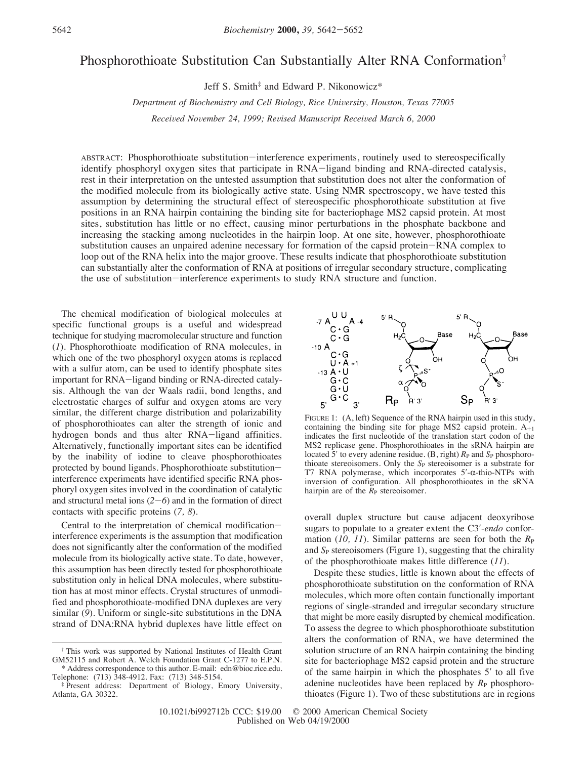# Phosphorothioate Substitution Can Substantially Alter RNA Conformation†

Jeff S. Smith<sup>‡</sup> and Edward P. Nikonowicz<sup>\*</sup>

*Department of Biochemistry and Cell Biology, Rice University, Houston, Texas 77005* 

*Received November 24, 1999; Revised Manuscript Received March 6, 2000* 

ABSTRACT: Phosphorothioate substitution-interference experiments, routinely used to stereospecifically identify phosphoryl oxygen sites that participate in RNA-ligand binding and RNA-directed catalysis, rest in their interpretation on the untested assumption that substitution does not alter the conformation of the modified molecule from its biologically active state. Using NMR spectroscopy, we have tested this assumption by determining the structural effect of stereospecific phosphorothioate substitution at five positions in an RNA hairpin containing the binding site for bacteriophage MS2 capsid protein. At most sites, substitution has little or no effect, causing minor perturbations in the phosphate backbone and increasing the stacking among nucleotides in the hairpin loop. At one site, however, phosphorothioate substitution causes an unpaired adenine necessary for formation of the capsid protein-RNA complex to loop out of the RNA helix into the major groove. These results indicate that phosphorothioate substitution can substantially alter the conformation of RNA at positions of irregular secondary structure, complicating the use of substitution-interference experiments to study RNA structure and function.

The chemical modification of biological molecules at specific functional groups is a useful and widespread technique for studying macromolecular structure and function (*1*). Phosphorothioate modification of RNA molecules, in which one of the two phosphoryl oxygen atoms is replaced with a sulfur atom, can be used to identify phosphate sites important for RNA-ligand binding or RNA-directed catalysis. Although the van der Waals radii, bond lengths, and electrostatic charges of sulfur and oxygen atoms are very similar, the different charge distribution and polarizability of phosphorothioates can alter the strength of ionic and hydrogen bonds and thus alter RNA-ligand affinities. Alternatively, functionally important sites can be identified by the inability of iodine to cleave phosphorothioates protected by bound ligands. Phosphorothioate substitutioninterference experiments have identified specific RNA phosphoryl oxygen sites involved in the coordination of catalytic and structural metal ions  $(2-6)$  and in the formation of direct contacts with specific proteins (*7, 8*).

Central to the interpretation of chemical modificationinterference experiments is the assumption that modification does not significantly alter the conformation of the modified molecule from its biologically active state. To date, however, this assumption has been directly tested for phosphorothioate substitution only in helical DNA molecules, where substitution has at most minor effects. Crystal structures of unmodified and phosphorothioate-modified DNA duplexes are very similar (*9*). Uniform or single-site substitutions in the DNA strand of DNA:RNA hybrid duplexes have little effect on



FIGURE 1: (A, left) Sequence of the RNA hairpin used in this study, containing the binding site for phage MS2 capsid protein.  $A_{+1}$ indicates the first nucleotide of the translation start codon of the MS2 replicase gene. Phosphorothioates in the sRNA hairpin are located 5<sup> $\prime$ </sup> to every adenine residue. (B, right)  $R_P$  and  $S_P$  phosphorothioate stereoisomers. Only the S<sub>P</sub> stereoisomer is a substrate for T7 RNA polymerase, which incorporates  $5'$ - $\alpha$ -thio-NTPs with inversion of configuration. All phosphorothioates in the sRNA hairpin are of the  $\bar{R}_P$  stereoisomer.

overall duplex structure but cause adjacent deoxyribose sugars to populate to a greater extent the C3′-*endo* conformation (10, 11). Similar patterns are seen for both the  $R_P$ and *S*<sub>P</sub> stereoisomers (Figure 1), suggesting that the chirality of the phosphorothioate makes little difference (*11*).

Despite these studies, little is known about the effects of phosphorothioate substitution on the conformation of RNA molecules, which more often contain functionally important regions of single-stranded and irregular secondary structure that might be more easily disrupted by chemical modification. To assess the degree to which phosphorothioate substitution alters the conformation of RNA, we have determined the solution structure of an RNA hairpin containing the binding site for bacteriophage MS2 capsid protein and the structure of the same hairpin in which the phosphates 5′ to all five adenine nucleotides have been replaced by  $R_{\rm P}$  phosphorothioates (Figure 1). Two of these substitutions are in regions

<sup>†</sup> This work was supported by National Institutes of Health Grant GM52115 and Robert A. Welch Foundation Grant C-1277 to E.P.N. \* Address correspondence to this author. E-mail: edn@bioc.rice.edu.

Telephone: (713) 348-4912. Fax: (713) 348-5154.

<sup>‡</sup> Present address: Department of Biology, Emory University, Atlanta, GA 30322.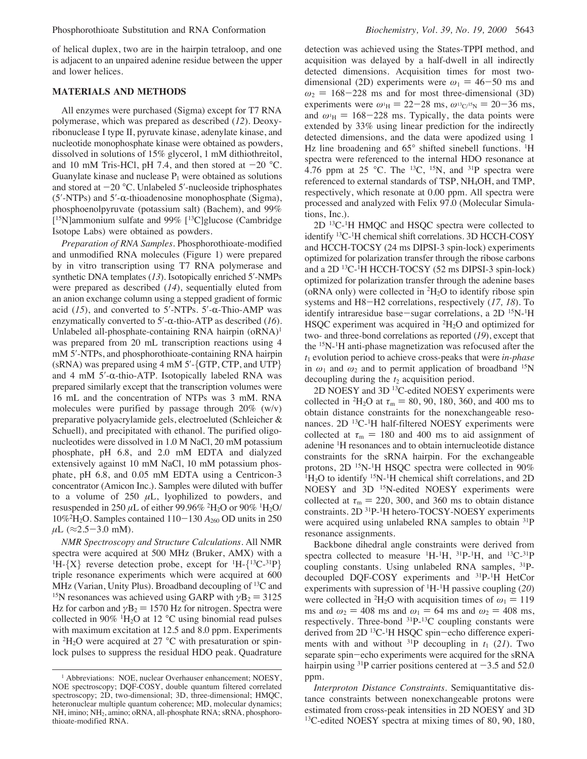of helical duplex, two are in the hairpin tetraloop, and one is adjacent to an unpaired adenine residue between the upper and lower helices.

### **MATERIALS AND METHODS**

All enzymes were purchased (Sigma) except for T7 RNA polymerase, which was prepared as described (*12*). Deoxyribonuclease I type II, pyruvate kinase, adenylate kinase, and nucleotide monophosphate kinase were obtained as powders, dissolved in solutions of 15% glycerol, 1 mM dithiothreitol, and 10 mM Tris-HCl, pH 7.4, and then stored at  $-20$  °C. Guanylate kinase and nuclease  $P_1$  were obtained as solutions and stored at  $-20$  °C. Unlabeled 5'-nucleoside triphosphates  $(5'$ -NTPs) and  $5'$ -α-thioadenosine monophosphate (Sigma), phosphoenolpyruvate (potassium salt) (Bachem), and 99% [15N]ammonium sulfate and 99% [13C]glucose (Cambridge Isotope Labs) were obtained as powders.

*Preparation of RNA Samples.* Phosphorothioate-modified and unmodified RNA molecules (Figure 1) were prepared by in vitro transcription using T7 RNA polymerase and synthetic DNA templates (*13*). Isotopically enriched 5′-NMPs were prepared as described (*14*), sequentially eluted from an anion exchange column using a stepped gradient of formic acid  $(15)$ , and converted to 5'-NTPs. 5'- $\alpha$ -Thio-AMP was enzymatically converted to 5′-R-thio-ATP as described (*16*). Unlabeled all-phosphate-containing RNA hairpin  $(ORNA)^1$ was prepared from 20 mL transcription reactions using 4 mM 5′-NTPs, and phosphorothioate-containing RNA hairpin (sRNA) was prepared using 4 mM 5′-{GTP, CTP, and UTP} and 4 mM  $5'$ - $\alpha$ -thio-ATP. Isotopically labeled RNA was prepared similarly except that the transcription volumes were 16 mL and the concentration of NTPs was 3 mM. RNA molecules were purified by passage through  $20\%$  (w/v) preparative polyacrylamide gels, electroeluted (Schleicher & Schuell), and precipitated with ethanol. The purified oligonucleotides were dissolved in 1.0 M NaCl, 20 mM potassium phosphate, pH 6.8, and 2.0 mM EDTA and dialyzed extensively against 10 mM NaCl, 10 mM potassium phosphate, pH 6.8, and 0.05 mM EDTA using a Centricon-3 concentrator (Amicon Inc.). Samples were diluted with buffer to a volume of 250  $\mu$ L, lyophilized to powders, and resuspended in 250  $\mu$ L of either 99.96% <sup>2</sup>H<sub>2</sub>O or 90% <sup>1</sup>H<sub>2</sub>O/ 10%2 H2O. Samples contained 110-130 *A*<sup>260</sup> OD units in 250  $\mu L$  ( $\approx$ 2.5-3.0 mM).

*NMR Spectroscopy and Structure Calculations.* All NMR spectra were acquired at 500 MHz (Bruker, AMX) with a <sup>1</sup>H- $\{X\}$  reverse detection probe, except for <sup>1</sup>H- $\{$ <sup>13</sup>C-<sup>31</sup>P $\}$ triple resonance experiments which were acquired at 600 MHz (Varian, Unity Plus). Broadband decoupling of  ${}^{13}C$  and <sup>15</sup>N resonances was achieved using GARP with  $\gamma$ B<sub>2</sub> = 3125 Hz for carbon and  $\gamma$ B<sub>2</sub> = 1570 Hz for nitrogen. Spectra were collected in 90%  $\rm{^{1}H_{2}O}$  at 12 °C using binomial read pulses with maximum excitation at 12.5 and 8.0 ppm. Experiments in  ${}^{2}H_{2}O$  were acquired at 27 °C with presaturation or spinlock pulses to suppress the residual HDO peak. Quadrature

detection was achieved using the States-TPPI method, and acquisition was delayed by a half-dwell in all indirectly detected dimensions. Acquisition times for most twodimensional (2D) experiments were  $\omega_1 = 46-50$  ms and  $\omega_2$  = 168-228 ms and for most three-dimensional (3D) experiments were  $\omega_{\rm H} = 22 - 28 \text{ ms}, \omega_{\rm H} = 20 - 36 \text{ ms},$ and  $\omega_H = 168-228$  ms. Typically, the data points were extended by 33% using linear prediction for the indirectly detected dimensions, and the data were apodized using 1 Hz line broadening and 65° shifted sinebell functions. <sup>1</sup>H spectra were referenced to the internal HDO resonance at 4.76 ppm at 25 °C. The <sup>13</sup>C, <sup>15</sup>N, and <sup>31</sup>P spectra were referenced to external standards of TSP, NH4OH, and TMP, respectively, which resonate at 0.00 ppm. All spectra were processed and analyzed with Felix 97.0 (Molecular Simulations, Inc.).

 $2D<sup>13</sup>C<sup>-1</sup>H$  HMQC and HSQC spectra were collected to identify <sup>13</sup>C<sup>-1</sup>H chemical shift correlations. 3D HCCH-COSY and HCCH-TOCSY (24 ms DIPSI-3 spin-lock) experiments optimized for polarization transfer through the ribose carbons and a 2D 13C-1 H HCCH-TOCSY (52 ms DIPSI-3 spin-lock) optimized for polarization transfer through the adenine bases (oRNA only) were collected in  ${}^{2}H_{2}O$  to identify ribose spin systems and H8-H2 correlations, respectively (*17, 18*). To identify intraresidue base-sugar correlations, a  $2D<sup>15</sup>N<sup>-1</sup>H$ HSQC experiment was acquired in  ${}^{2}H_{2}O$  and optimized for two- and three-bond correlations as reported (*19*), except that the 15N-1H anti-phase magnetization was refocused after the *t*<sup>1</sup> evolution period to achieve cross-peaks that were *in-phase* in  $\omega_1$  and  $\omega_2$  and to permit application of broadband <sup>15</sup>N decoupling during the  $t_2$  acquisition period.

2D NOESY and 3D 13C-edited NOESY experiments were collected in <sup>2</sup>H<sub>2</sub>O at  $\tau_m = 80, 90, 180, 360,$  and 400 ms to obtain distance constraints for the nonexchangeable resonances. 2D 13C-1H half-filtered NOESY experiments were collected at  $\tau_m = 180$  and 400 ms to aid assignment of adenine <sup>1</sup> H resonances and to obtain internucleotide distance constraints for the sRNA hairpin. For the exchangeable protons, 2D <sup>15</sup>N-<sup>1</sup>H HSQC spectra were collected in 90%  ${}^{1}H_{2}O$  to identify  ${}^{15}N$ - ${}^{1}H$  chemical shift correlations, and 2D NOESY and 3D <sup>15</sup>N-edited NOESY experiments were collected at  $\tau_m = 220, 300,$  and 360 ms to obtain distance constraints. 2D 31P-1 H hetero-TOCSY-NOESY experiments were acquired using unlabeled RNA samples to obtain <sup>31</sup>P resonance assignments.

Backbone dihedral angle constraints were derived from spectra collected to measure  ${}^{1}H-{}^{1}H$ ,  ${}^{31}P-{}^{1}H$ , and  ${}^{13}C-{}^{31}P$ coupling constants. Using unlabeled RNA samples, <sup>31</sup>Pdecoupled DQF-COSY experiments and 31P-1H HetCor experiments with supression of 1H-1 H passive coupling (*20*) were collected in <sup>2</sup>H<sub>2</sub>O with acquisition times of  $\omega_1 = 119$ ms and  $\omega_2 = 408$  ms and  $\omega_1 = 64$  ms and  $\omega_2 = 408$  ms, respectively. Three-bond  ${}^{31}P_{-}{}^{13}C$  coupling constants were derived from 2D<sup>13</sup>C<sup>-1</sup>H HSQC spin-echo difference experiments with and without  $^{31}P$  decoupling in  $t_1$  (21). Two separate spin-echo experiments were acquired for the sRNA hairpin using <sup>31</sup>P carrier positions centered at  $-3.5$  and 52.0 ppm.

*Interproton Distance Constraints.* Semiquantitative distance constraints between nonexchangeable protons were estimated from cross-peak intensities in 2D NOESY and 3D <sup>13</sup>C-edited NOESY spectra at mixing times of 80, 90, 180,

<sup>&</sup>lt;sup>1</sup> Abbreviations: NOE, nuclear Overhauser enhancement; NOESY, NOE spectroscopy; DQF-COSY, double quantum filtered correlated spectroscopy; 2D, two-dimensional; 3D, three-dimensional; HMQC, heteronuclear multiple quantum coherence; MD, molecular dynamics; NH, imino; NH<sub>2</sub>, amino; oRNA, all-phosphate RNA; sRNA, phosphorothioate-modified RNA.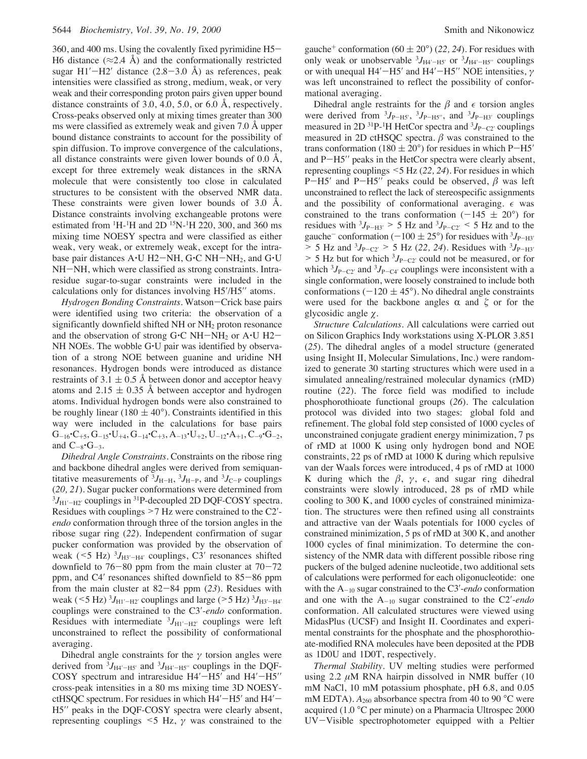360, and 400 ms. Using the covalently fixed pyrimidine H5- H6 distance ( $\approx$ 2.4 Å) and the conformationally restricted sugar  $H1'$ - $H2'$  distance (2.8–3.0 Å) as references, peak intensities were classified as strong, medium, weak, or very weak and their corresponding proton pairs given upper bound distance constraints of 3.0, 4.0, 5.0, or 6.0 Å, respectively. Cross-peaks observed only at mixing times greater than 300 ms were classified as extremely weak and given 7.0 Å upper bound distance constraints to account for the possibility of spin diffusion. To improve convergence of the calculations, all distance constraints were given lower bounds of  $0.0 \text{ Å}$ , except for three extremely weak distances in the sRNA molecule that were consistently too close in calculated structures to be consistent with the observed NMR data. These constraints were given lower bounds of 3.0 Å. Distance constraints involving exchangeable protons were estimated from  ${}^{1}$ H- ${}^{1}$ H and 2D  ${}^{15}$ N- ${}^{1}$ H 220, 300, and 360 ms mixing time NOESY spectra and were classified as either weak, very weak, or extremely weak, except for the intrabase pair distances  $A \cdot U H2-NH$ ,  $G \cdot C NH-NH_2$ , and  $G \cdot U$ NH-NH, which were classified as strong constraints. Intraresidue sugar-to-sugar constraints were included in the calculations only for distances involving H5′/H5′′ atoms.

*Hydrogen Bonding Constraints.* Watson-Crick base pairs were identified using two criteria: the observation of a significantly downfield shifted NH or NH<sub>2</sub> proton resonance and the observation of strong  $G\text{-}C$  NH-NH<sub>2</sub> or A $\text{-}U$  H2-NH NOEs. The wobble G'U pair was identified by observation of a strong NOE between guanine and uridine NH resonances. Hydrogen bonds were introduced as distance restraints of 3.1  $\pm$  0.5 Å between donor and acceptor heavy atoms and  $2.15 \pm 0.35$  Å between acceptor and hydrogen atoms. Individual hydrogen bonds were also constrained to be roughly linear ( $180 \pm 40^{\circ}$ ). Constraints identified in this way were included in the calculations for base pairs  $G_{-16}$ <sup>\*</sup>C<sub>+5</sub>,  $G_{-15}$ \*U<sub>+4</sub>,  $G_{-14}$ \*C<sub>+3</sub>,  $A_{-13}$ \*U<sub>+2</sub>, U<sub>-12</sub>\* $A_{+1}$ , C<sub>-9</sub>\* $G_{-2}$ , and  $C_{-8} \cdot G_{-3}$ .

*Dihedral Angle Constraints.* Constraints on the ribose ring and backbone dihedral angles were derived from semiquantitative measurements of  ${}^{3}J_{\text{H-H}}$ ,  ${}^{3}J_{\text{H-P}}$ , and  ${}^{3}J_{\text{C-P}}$  couplings (*20, 21*). Sugar pucker conformations were determined from  ${}^{3}J_{\text{H1}^{\prime}-\text{H2}^{\prime}}$  couplings in  ${}^{31}P$ -decoupled 2D DQF-COSY spectra. Residues with couplings >7 Hz were constrained to the C2′ *endo* conformation through three of the torsion angles in the ribose sugar ring (*22*). Independent confirmation of sugar pucker conformation was provided by the observation of weak ( $\leq 5$  Hz)  $\frac{3}{{}_{\text{H3}'-\text{H4}'}}$  couplings, C3' resonances shifted downfield to  $76-80$  ppm from the main cluster at  $70-72$ ppm, and C4′ resonances shifted downfield to 85-86 ppm from the main cluster at 82-84 ppm (*23*). Residues with weak ( $\leq 5$  Hz)  $^{3}J_{\text{H1}'-\text{H2}'}$  couplings and large ( $> 5$  Hz)  $^{3}J_{\text{H3}'-\text{H4}'}$ couplings were constrained to the C3′-*endo* conformation. Residues with intermediate  ${}^{3}J_{\text{H1}'-\text{H2}'}$  couplings were left unconstrained to reflect the possibility of conformational averaging.

Dihedral angle constraints for the  $\gamma$  torsion angles were derived from  ${}^{3}J_{\text{H4}'-\text{H5}'}$  and  ${}^{3}J_{\text{H4}'-\text{H5}''}$  couplings in the DQF-COSY spectrum and intraresidue H4′-H5′ and H4′-H5″ cross-peak intensities in a 80 ms mixing time 3D NOESYctHSQC spectrum. For residues in which  $H4'$ – $H5'$  and  $H4'$ – H5′′ peaks in the DQF-COSY spectra were clearly absent, representing couplings  $\leq$  Hz,  $\gamma$  was constrained to the

gauche<sup>+</sup> conformation (60  $\pm$  20°) (22, 24). For residues with only weak or unobservable  ${}^{3}J_{\text{H}4' - \text{H}5'}$  or  ${}^{3}J_{\text{H}4' - \text{H}5''}$  couplings or with unequal H4′ $-H5'$  and H4′ $-H5''$  NOE intensities,  $\gamma$ was left unconstrained to reflect the possibility of conformational averaging.

Dihedral angle restraints for the  $\beta$  and  $\epsilon$  torsion angles were derived from  ${}^{3}J_{P-H5'}$ ,  ${}^{3}J_{P-H5''}$ , and  ${}^{3}J_{P-H3'}$  couplings measured in 2D <sup>31</sup>P-<sup>1</sup>H HetCor spectra and <sup>3</sup>J<sub>P-C2</sub><sup>*c*</sup> couplings measured in 2D ctHSQC spectra.  $\beta$  was constrained to the trans conformation (180  $\pm$  20°) for residues in which P-H5' and P-H5′′ peaks in the HetCor spectra were clearly absent, representing couplings <5 Hz (*22, 24*). For residues in which P-H5' and P-H5'' peaks could be observed,  $\beta$  was left unconstrained to reflect the lack of stereospecific assignments and the possibility of conformational averaging.  $\epsilon$  was constrained to the trans conformation  $(-145 \pm 20^{\circ})$  for residues with  $3J_{\text{P-H3'}} > 5$  Hz and  $3J_{\text{P-C2'}} < 5$  Hz and to the gauche<sup>-</sup> conformation (-100  $\pm$  25°) for residues with <sup>3</sup>*J*<sub>P-H3</sub><sup>*'*</sup>  $> 5$  Hz and  $3J_{P-C2'} > 5$  Hz (22, 24). Residues with  $3J_{P-H3'}$  $> 5$  Hz but for which  ${}^{3}J_{P-C2'}$  could not be measured, or for which  ${}^{3}J_{P-C2'}$  and  ${}^{3}J_{P-C4'}$  couplings were inconsistent with a single conformation, were loosely constrained to include both conformations ( $-120 \pm 45^{\circ}$ ). No dihedral angle constraints were used for the backbone angles  $\alpha$  and  $\zeta$  or for the glycosidic angle  $\chi$ .

*Structure Calculations.* All calculations were carried out on Silicon Graphics Indy workstations using X-PLOR 3.851 (*25*). The dihedral angles of a model structure (generated using Insight II, Molecular Simulations, Inc.) were randomized to generate 30 starting structures which were used in a simulated annealing/restrained molecular dynamics (rMD) routine (*22*). The force field was modified to include phosphorothioate functional groups (*26*). The calculation protocol was divided into two stages: global fold and refinement. The global fold step consisted of 1000 cycles of unconstrained conjugate gradient energy minimization, 7 ps of rMD at 1000 K using only hydrogen bond and NOE constraints, 22 ps of rMD at 1000 K during which repulsive van der Waals forces were introduced, 4 ps of rMD at 1000 K during which the  $\beta$ ,  $\gamma$ ,  $\epsilon$ , and sugar ring dihedral constraints were slowly introduced, 28 ps of rMD while cooling to 300 K, and 1000 cycles of constrained minimization. The structures were then refined using all constraints and attractive van der Waals potentials for 1000 cycles of constrained minimization, 5 ps of rMD at 300 K, and another 1000 cycles of final minimization. To determine the consistency of the NMR data with different possible ribose ring puckers of the bulged adenine nucleotide, two additional sets of calculations were performed for each oligonucleotide: one with the A-<sup>10</sup> sugar constrained to the C3′-*endo* conformation and one with the A-<sup>10</sup> sugar constrained to the C2′-*endo* conformation. All calculated structures were viewed using MidasPlus (UCSF) and Insight II. Coordinates and experimental constraints for the phosphate and the phosphorothioate-modified RNA molecules have been deposited at the PDB as 1D0U and 1D0T, respectively.

*Thermal Stability.* UV melting studies were performed using  $2.2 \mu M$  RNA hairpin dissolved in NMR buffer (10 mM NaCl, 10 mM potassium phosphate, pH 6.8, and 0.05 mM EDTA).  $A_{260}$  absorbance spectra from 40 to 90 °C were acquired (1.0 °C per minute) on a Pharmacia Ultrospec 2000 UV-Visible spectrophotometer equipped with a Peltier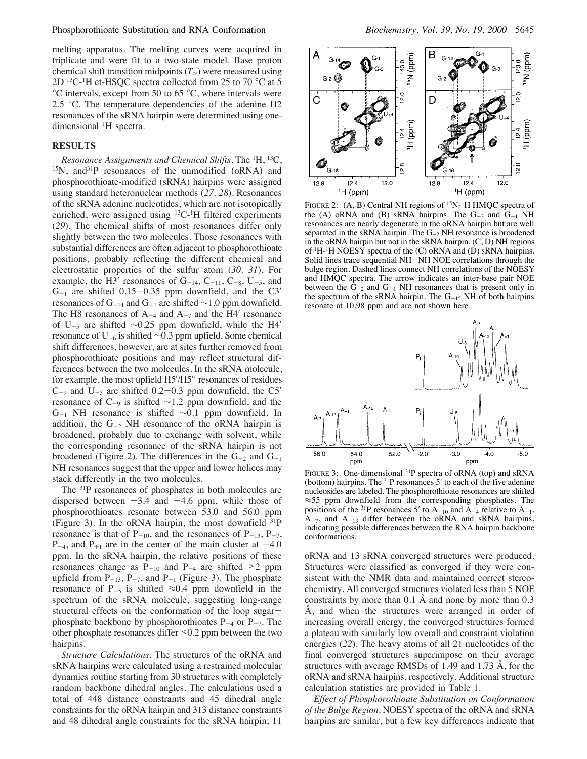#### Phosphorothioate Substitution and RNA Conformation *Biochemistry, Vol. 39, No. 19, 2000* 5645

melting apparatus. The melting curves were acquired in triplicate and were fit to a two-state model. Base proton chemical shift transition midpoints  $(T_{cs})$  were measured using  $2D$  <sup>13</sup>C<sup>-1</sup>H ct-HSQC spectra collected from 25 to 70 °C at 5 °C intervals, except from 50 to 65 °C, where intervals were 2.5 °C. The temperature dependencies of the adenine H2 resonances of the sRNA hairpin were determined using onedimensional <sup>1</sup>H spectra.

#### **RESULTS**

*Resonance Assignments and Chemical Shifts.* The <sup>1</sup> H, 13C, 15N, and31P resonances of the unmodified (oRNA) and phosphorothioate-modified (sRNA) hairpins were assigned using standard heteronuclear methods (*27, 28*). Resonances of the sRNA adenine nucleotides, which are not isotopically enriched, were assigned using <sup>13</sup>C<sup>-1</sup>H filtered experiments (*29*). The chemical shifts of most resonances differ only slightly between the two molecules. Those resonances with substantial differences are often adjacent to phosphorothioate positions, probably reflecting the different chemical and electrostatic properties of the sulfur atom (*30, 31*). For example, the H3' resonances of  $G_{-14}$ ,  $C_{-11}$ ,  $C_{-8}$ ,  $U_{-5}$ , and  $G_{-1}$  are shifted 0.15-0.35 ppm downfield, and the C3' resonances of G<sub>-14</sub> and G<sub>-1</sub> are shifted ~1.0 ppm downfield. The H8 resonances of  $A_{-4}$  and  $A_{-7}$  and the H4' resonance of U-<sup>5</sup> are shifted ∼0.25 ppm downfield, while the H4′ resonance of U-<sup>6</sup> is shifted ∼0.3 ppm upfield. Some chemical shift differences, however, are at sites further removed from phosphorothioate positions and may reflect structural differences between the two molecules. In the sRNA molecule, for example, the most upfield H5′/H5′′ resonances of residues  $C_{-9}$  and  $U_{-5}$  are shifted 0.2–0.3 ppm downfield, the C5' resonance of  $C_{-9}$  is shifted ∼1.2 ppm downfield, and the G-<sup>1</sup> NH resonance is shifted ∼0.1 ppm downfield. In addition, the  $G_{-2}$  NH resonance of the oRNA hairpin is broadened, probably due to exchange with solvent, while the corresponding resonance of the sRNA hairpin is not broadened (Figure 2). The differences in the  $G_{-2}$  and  $G_{-1}$ NH resonances suggest that the upper and lower helices may stack differently in the two molecules.

The 31P resonances of phosphates in both molecules are dispersed between  $-3.4$  and  $-4.6$  ppm, while those of phosphorothioates resonate between 53.0 and 56.0 ppm (Figure 3). In the oRNA hairpin, the most downfield  $^{31}P$ resonance is that of  $P_{-10}$ , and the resonances of  $P_{-13}$ ,  $P_{-7}$ ,  $P_{-4}$ , and  $P_{+1}$  are in the center of the main cluster at  $-4.0$ ppm. In the sRNA hairpin, the relative positions of these resonances change as  $P_{-10}$  and  $P_{-4}$  are shifted  $\geq 2$  ppm upfield from  $P_{-13}$ ,  $P_{-7}$ , and  $P_{+1}$  (Figure 3). The phosphate resonance of P<sub>-5</sub> is shifted  $\approx 0.4$  ppm downfield in the spectrum of the sRNA molecule, suggesting long-range structural effects on the conformation of the loop sugarphosphate backbone by phosphorothioates  $P_{-4}$  or  $P_{-7}$ . The other phosphate resonances differ <0.2 ppm between the two hairpins.

*Structure Calculations.* The structures of the oRNA and sRNA hairpins were calculated using a restrained molecular dynamics routine starting from 30 structures with completely random backbone dihedral angles. The calculations used a total of 448 distance constraints and 45 dihedral angle constraints for the oRNA hairpin and 313 distance constraints and 48 dihedral angle constraints for the sRNA hairpin; 11



FIGURE 2: (A, B) Central NH regions of <sup>15</sup>N-<sup>1</sup>H HMQC spectra of the (A) oRNA and (B) sRNA hairpins. The  $G_{-3}$  and  $G_{-1}$  NH resonances are nearly degenerate in the oRNA hairpin but are well separated in the sRNA hairpin. The  $G_{-2}$  NH resonance is broadened in the oRNA hairpin but not in the sRNA hairpin. (C, D) NH regions of 1H-1H NOESY spectra of the (C) oRNA and (D) sRNA hairpins. Solid lines trace sequential NH-NH NOE correlations through the bulge region. Dashed lines connect NH correlations of the NOESY and HMQC spectra. The arrow indicates an inter-base pair NOE between the  $G_{-2}$  and  $G_{-1}$  NH resonances that is present only in the spectrum of the sRNA hairpin. The  $G_{-15}$  NH of both hairpins resonate at 10.98 ppm and are not shown here.



FIGURE 3: One-dimensional <sup>31</sup>P spectra of oRNA (top) and sRNA (bottom) hairpins. The <sup>31</sup>P resonances 5' to each of the five adenine nucleosides are labeled. The phosphorothioate resonances are shifted ≈55 ppm downfield from the corresponding phosphates. The positions of the <sup>31</sup>P resonances 5' to  $A_{-10}$  and  $A_{-4}$  relative to  $A_{+1}$ ,  $A_{-7}$ , and  $A_{-13}$  differ between the oRNA and sRNA hairpins, indicating possible differences between the RNA hairpin backbone conformations.

oRNA and 13 sRNA converged structures were produced. Structures were classified as converged if they were consistent with the NMR data and maintained correct stereochemistry. All converged structures violated less than 5 NOE constraints by more than 0.1 Å and none by more than 0.3 Å, and when the structures were arranged in order of increasing overall energy, the converged structures formed a plateau with similarly low overall and constraint violation energies (*22*). The heavy atoms of all 21 nucleotides of the final converged structures superimpose on their average structures with average RMSDs of 1.49 and 1.73 Å, for the oRNA and sRNA hairpins, respectively. Additional structure calculation statistics are provided in Table 1.

*Effect of Phosphorothioate Substitution on Conformation of the Bulge Region.* NOESY spectra of the oRNA and sRNA hairpins are similar, but a few key differences indicate that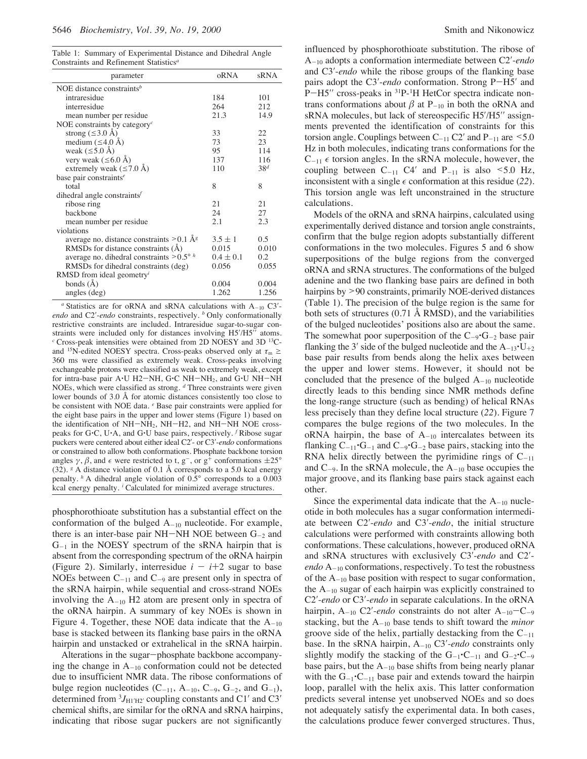Table 1: Summary of Experimental Distance and Dihedral Angle Constraints and Refinement Statistics*<sup>a</sup>*

| parameter                                             | oRNA          | sRNA            |
|-------------------------------------------------------|---------------|-----------------|
| NOE distance constraints <sup>b</sup>                 |               |                 |
| intraresidue                                          | 184           | 101             |
| interresidue                                          | 264           | 212             |
| mean number per residue                               | 21.3          | 14.9            |
| NOE constraints by category <sup><math>c</math></sup> |               |                 |
| strong $(\leq 3.0 \text{ Å})$                         | 33            | 22              |
| medium $(\leq 4.0 \text{ Å})$                         | 73            | 23              |
| weak $(\leq 5.0 \text{ Å})$                           | 95            | 114             |
| very weak ( $\leq 6.0$ Å)                             | 137           | 116             |
| extremely weak $(\leq 7.0 \text{ Å})$                 | 110           | 38 <sup>d</sup> |
| base pair constraints <sup><math>e</math></sup>       |               |                 |
| total                                                 | 8             | 8               |
| dihedral angle constraints $f$                        |               |                 |
| ribose ring                                           | 21            | 21              |
| hackhone                                              | 24            | 27              |
| mean number per residue                               | 2.1           | 2.3             |
| violations                                            |               |                 |
| average no. distance constraints $> 0.1 \text{ Å}^g$  | $3.5 \pm 1$   | 0.5             |
| RMSDs for distance constraints $(A)$                  | 0.015         | 0.010           |
| average no. dihedral constraints $> 0.5^{\circ} h$    | $0.4 \pm 0.1$ | 0.2             |
| RMSDs for dihedral constraints (deg)                  | 0.056         | 0.055           |
| RMSD from ideal geometry <sup>1</sup>                 |               |                 |
| bonds $(A)$                                           | 0.004         | 0.004           |
| angles (deg)                                          | 1.262         | 1.256           |

 $a$  Statistics are for oRNA and sRNA calculations with  $A_{-10}$  C3'*endo* and C2′-*endo* constraints, respectively. *<sup>b</sup>* Only conformationally restrictive constraints are included. Intraresidue sugar-to-sugar constraints were included only for distances involving H5′/H5′′ atoms. *<sup>c</sup>* Cross-peak intensities were obtained from 2D NOESY and 3D 13Cand <sup>15</sup>N-edited NOESY spectra. Cross-peaks observed only at  $\tau_{\rm m} \ge$ 360 ms were classified as extremely weak. Cross-peaks involving exchangeable protons were classified as weak to extremely weak, except for intra-base pair A'U H2-NH, G'C NH-NH2, and G'U NH-NH NOEs, which were classified as strong. *<sup>d</sup>* Three constraints were given lower bounds of 3.0 Å for atomic distances consistently too close to be consistent with NOE data. *<sup>e</sup>* Base pair constraints were applied for the eight base pairs in the upper and lower stems (Figure 1) based on the identification of NH-NH2, NH-H2, and NH-NH NOE crosspeaks for G'C, U'A, and G'U base pairs, respectively. *<sup>f</sup>* Ribose sugar puckers were centered about either ideal C2′- or C3′-*endo* conformations or constrained to allow both conformations. Phosphate backbone torsion angles  $\gamma$ ,  $\beta$ , and  $\epsilon$  were restricted to t, g<sup>-</sup>, or g<sup>+</sup> conformations  $\pm 25^{\circ}$ (32). *<sup>g</sup>* A distance violation of 0.1 Å corresponds to a 5.0 kcal energy penalty. *<sup>h</sup>* A dihedral angle violation of 0.5° corresponds to a 0.003 kcal energy penalty. *<sup>i</sup>* Calculated for minimized average structures.

phosphorothioate substitution has a substantial effect on the conformation of the bulged  $A_{-10}$  nucleotide. For example, there is an inter-base pair NH-NH NOE between  $G_{-2}$  and  $G_{-1}$  in the NOESY spectrum of the sRNA hairpin that is absent from the corresponding spectrum of the oRNA hairpin (Figure 2). Similarly, interresidue  $i - i+2$  sugar to base NOEs between  $C_{-11}$  and  $C_{-9}$  are present only in spectra of the sRNA hairpin, while sequential and cross-strand NOEs involving the  $A_{-10}$  H2 atom are present only in spectra of the oRNA hairpin. A summary of key NOEs is shown in Figure 4. Together, these NOE data indicate that the  $A_{-10}$ base is stacked between its flanking base pairs in the oRNA hairpin and unstacked or extrahelical in the sRNA hairpin.

Alterations in the sugar-phosphate backbone accompanying the change in  $A_{-10}$  conformation could not be detected due to insufficient NMR data. The ribose conformations of bulge region nucleotides  $(C_{-11}, A_{-10}, C_{-9}, G_{-2}, and G_{-1}),$ determined from  ${}^{3}J_{\text{H1'H2}}$  coupling constants and C1' and C3' chemical shifts, are similar for the oRNA and sRNA hairpins, indicating that ribose sugar puckers are not significantly

influenced by phosphorothioate substitution. The ribose of A-<sup>10</sup> adopts a conformation intermediate between C2′-*endo* and C3′-*endo* while the ribose groups of the flanking base pairs adopt the C3′-*endo* conformation. Strong P-H5′ and P-H5" cross-peaks in <sup>31</sup>P-<sup>1</sup>H HetCor spectra indicate nontrans conformations about  $\beta$  at P<sub>-10</sub> in both the oRNA and sRNA molecules, but lack of stereospecific H5′/H5′′ assignments prevented the identification of constraints for this torsion angle. Couplings between  $C_{-11}$   $C2'$  and  $P_{-11}$  are  $\leq 5.0$ Hz in both molecules, indicating trans conformations for the  $C_{-11}$   $\epsilon$  torsion angles. In the sRNA molecule, however, the coupling between  $C_{-11}$   $C4'$  and  $P_{-11}$  is also <5.0 Hz, inconsistent with a single  $\epsilon$  conformation at this residue (22). This torsion angle was left unconstrained in the structure calculations.

Models of the oRNA and sRNA hairpins, calculated using experimentally derived distance and torsion angle constraints, confirm that the bulge region adopts substantially different conformations in the two molecules. Figures 5 and 6 show superpositions of the bulge regions from the converged oRNA and sRNA structures. The conformations of the bulged adenine and the two flanking base pairs are defined in both hairpins by >90 constraints, primarily NOE-derived distances (Table 1). The precision of the bulge region is the same for both sets of structures (0.71 Å RMSD), and the variabilities of the bulged nucleotides' positions also are about the same. The somewhat poor superposition of the  $C_{-9}$  $G_{-2}$  base pair flanking the 3' side of the bulged nucleotide and the  $A_{-13}$ <sup> $\cdot$ </sup>U<sub>+2</sub> base pair results from bends along the helix axes between the upper and lower stems. However, it should not be concluded that the presence of the bulged  $A_{-10}$  nucleotide directly leads to this bending since NMR methods define the long-range structure (such as bending) of helical RNAs less precisely than they define local structure (*22*). Figure 7 compares the bulge regions of the two molecules. In the  $oRNA$  hairpin, the base of  $A_{-10}$  intercalates between its flanking  $C_{-11}$ <sup> $\cdot$ </sup>G<sub>-1</sub> and  $C_{-9}$  $\cdot$ G<sub>-2</sub> base pairs, stacking into the RNA helix directly between the pyrimidine rings of  $C_{-11}$ and  $C_{-9}$ . In the sRNA molecule, the  $A_{-10}$  base occupies the major groove, and its flanking base pairs stack against each other.

Since the experimental data indicate that the  $A_{-10}$  nucleotide in both molecules has a sugar conformation intermediate between C2′-*endo* and C3′-*endo*, the initial structure calculations were performed with constraints allowing both conformations. These calculations, however, produced oRNA and sRNA structures with exclusively C3′-*endo* and C2′ *endo* A-<sup>10</sup> conformations, respectively. To test the robustness of the A-<sup>10</sup> base position with respect to sugar conformation, the  $A_{-10}$  sugar of each hairpin was explicitly constrained to C2′-*endo* or C3′-*endo* in separate calculations. In the oRNA hairpin,  $A_{-10}$  C2'-*endo* constraints do not alter  $A_{-10}-C_{-9}$ stacking, but the A-<sup>10</sup> base tends to shift toward the *minor* groove side of the helix, partially destacking from the  $C_{-11}$ base. In the sRNA hairpin, A-<sup>10</sup> C3′-*endo* constraints only slightly modify the stacking of the  $G_{-1}$  $C_{-11}$  and  $G_{-2}$  $C_{-9}$ base pairs, but the  $A_{-10}$  base shifts from being nearly planar with the  $G_{-1}$ <sup> $\cdot$ </sup>C<sub>-11</sub> base pair and extends toward the hairpin loop, parallel with the helix axis. This latter conformation predicts several intense yet unobserved NOEs and so does not adequately satisfy the experimental data. In both cases, the calculations produce fewer converged structures. Thus,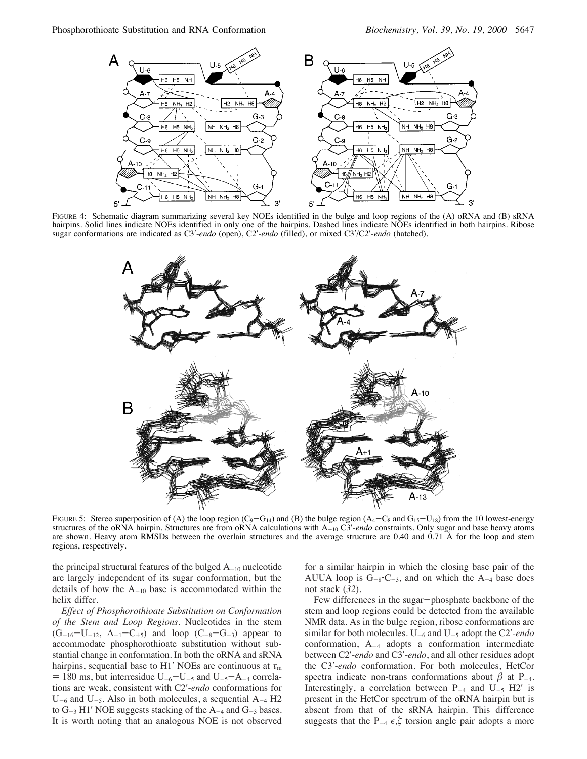

FIGURE 4: Schematic diagram summarizing several key NOEs identified in the bulge and loop regions of the (A) oRNA and (B) sRNA hairpins. Solid lines indicate NOEs identified in only one of the hairpins. Dashed lines indicate NOEs identified in both hairpins. Ribose sugar conformations are indicated as C3′-*endo* (open), C2′-*endo* (filled), or mixed C3′/C2′-*endo* (hatched).



FIGURE 5: Stereo superposition of (A) the loop region ( $C_9 - G_{14}$ ) and (B) the bulge region ( $A_4 - C_8$  and  $G_{15} - U_{18}$ ) from the 10 lowest-energy structures of the oRNA hairpin. Structures are from oRNA calculations with A<sub>-10</sub> C3'-*endo* constraints. Only sugar and base heavy atoms are shown. Heavy atom RMSDs between the overlain structures and the average structure are 0.40 and 0.71 Å for the loop and stem regions, respectively.

the principal structural features of the bulged  $A_{-10}$  nucleotide are largely independent of its sugar conformation, but the details of how the  $A_{-10}$  base is accommodated within the helix differ.

*Effect of Phosphorothioate Substitution on Conformation of the Stem and Loop Regions.* Nucleotides in the stem  $(G_{-16}-U_{-12}, A_{+1}-C_{+5})$  and loop  $(C_{-8}-G_{-3})$  appear to accommodate phosphorothioate substitution without substantial change in conformation. In both the oRNA and sRNA hairpins, sequential base to H1′ NOEs are continuous at  $\tau_m$  $=$  180 ms, but interresidue U<sub>-6</sub>-U<sub>-5</sub> and U<sub>-5</sub>-A<sub>-4</sub> correlations are weak, consistent with C2′-*endo* conformations for  $U_{-6}$  and  $U_{-5}$ . Also in both molecules, a sequential  $A_{-4}$  H2 to  $G_{-3}$  H1' NOE suggests stacking of the  $A_{-4}$  and  $G_{-3}$  bases. It is worth noting that an analogous NOE is not observed for a similar hairpin in which the closing base pair of the AUUA loop is  $G_{-8}$ <sup> $\cdot$ </sup>C<sub>-3</sub>, and on which the A<sub>-4</sub> base does not stack (*32*).

Few differences in the sugar-phosphate backbone of the stem and loop regions could be detected from the available NMR data. As in the bulge region, ribose conformations are similar for both molecules. U-<sup>6</sup> and U-<sup>5</sup> adopt the C2′-*endo* conformation, A-<sup>4</sup> adopts a conformation intermediate between C2′-*endo* and C3′-*endo*, and all other residues adopt the C3′-*endo* conformation. For both molecules, HetCor spectra indicate non-trans conformations about  $\beta$  at P<sub>-4</sub>. Interestingly, a correlation between  $P_{-4}$  and  $U_{-5}$  H2' is present in the HetCor spectrum of the oRNA hairpin but is absent from that of the sRNA hairpin. This difference suggests that the  $P_{-4} \epsilon, \zeta$  torsion angle pair adopts a more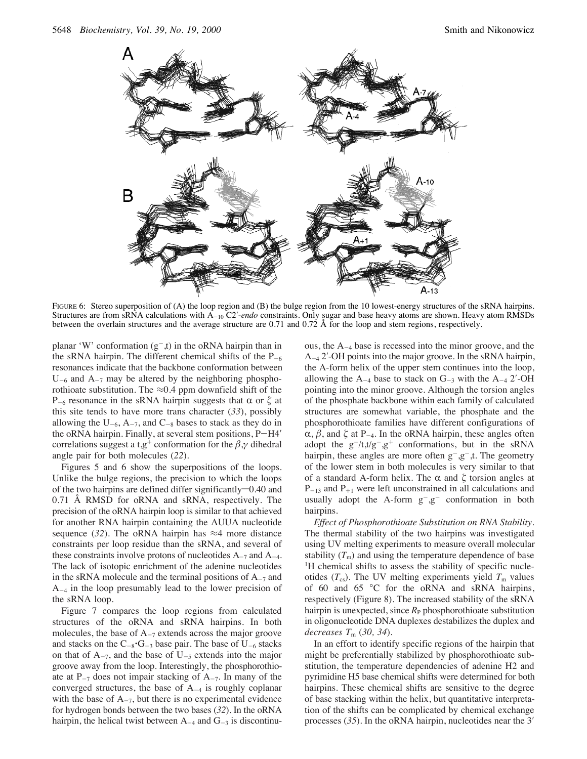

FIGURE 6: Stereo superposition of (A) the loop region and (B) the bulge region from the 10 lowest-energy structures of the sRNA hairpins. Structures are from sRNA calculations with A-<sub>10</sub> C2'-endo constraints. Only sugar and base heavy atoms are shown. Heavy atom RMSDs between the overlain structures and the average structure are 0.71 and 0.72 Å for the loop and stem regions, respectively.

planar 'W' conformation  $(g^{-},t)$  in the oRNA hairpin than in the sRNA hairpin. The different chemical shifts of the  $P_{-6}$ resonances indicate that the backbone conformation between  $U_{-6}$  and  $A_{-7}$  may be altered by the neighboring phosphorothioate substitution. The  $\approx 0.4$  ppm downfield shift of the P<sub>-6</sub> resonance in the sRNA hairpin suggests that  $\alpha$  or  $\zeta$  at this site tends to have more trans character (*33*), possibly allowing the  $U_{-6}$ , A $_{-7}$ , and  $C_{-8}$  bases to stack as they do in the oRNA hairpin. Finally, at several stem positions, P-H4′ correlations suggest a t,g<sup>+</sup> conformation for the  $\beta$ , $\gamma$  dihedral angle pair for both molecules (*22*).

Figures 5 and 6 show the superpositions of the loops. Unlike the bulge regions, the precision to which the loops of the two hairpins are defined differ significantly $-0.40$  and 0.71 Å RMSD for oRNA and sRNA, respectively. The precision of the oRNA hairpin loop is similar to that achieved for another RNA hairpin containing the AUUA nucleotide sequence (32). The oRNA hairpin has  $\approx$ 4 more distance constraints per loop residue than the sRNA, and several of these constraints involve protons of nucleotides  $A_{-7}$  and  $A_{-4}$ . The lack of isotopic enrichment of the adenine nucleotides in the sRNA molecule and the terminal positions of  $A_{-7}$  and A-<sup>4</sup> in the loop presumably lead to the lower precision of the sRNA loop.

Figure 7 compares the loop regions from calculated structures of the oRNA and sRNA hairpins. In both molecules, the base of  $A_{-7}$  extends across the major groove and stacks on the  $C_{-8}$ <sup> $\cdot$ </sup>G<sub> $-3$ </sub> base pair. The base of U<sub>-6</sub> stacks on that of  $A_{-7}$ , and the base of  $U_{-5}$  extends into the major groove away from the loop. Interestingly, the phosphorothioate at  $P_{-7}$  does not impair stacking of  $A_{-7}$ . In many of the converged structures, the base of  $A_{-4}$  is roughly coplanar with the base of  $A_{-7}$ , but there is no experimental evidence for hydrogen bonds between the two bases (*32*). In the oRNA hairpin, the helical twist between  $A_{-4}$  and  $G_{-3}$  is discontinuous, the  $A_{-4}$  base is recessed into the minor groove, and the A-<sup>4</sup> 2′-OH points into the major groove. In the sRNA hairpin, the A-form helix of the upper stem continues into the loop, allowing the  $A_{-4}$  base to stack on  $G_{-3}$  with the  $A_{-4}$  2'-OH pointing into the minor groove. Although the torsion angles of the phosphate backbone within each family of calculated structures are somewhat variable, the phosphate and the phosphorothioate families have different configurations of  $\alpha$ ,  $\beta$ , and  $\zeta$  at P<sub>-4</sub>. In the oRNA hairpin, these angles often adopt the  $g^{-}/t,t/g^{-}, g^{+}$  conformations, but in the sRNA hairpin, these angles are more often  $g^-, g^-, t$ . The geometry of the lower stem in both molecules is very similar to that of a standard A-form helix. The  $\alpha$  and  $\zeta$  torsion angles at  $P_{-13}$  and  $P_{+1}$  were left unconstrained in all calculations and usually adopt the A-form  $g^-$ , $g^-$  conformation in both hairpins.

*Effect of Phosphorothioate Substitution on RNA Stability.* The thermal stability of the two hairpins was investigated using UV melting experiments to measure overall molecular stability  $(T<sub>m</sub>)$  and using the temperature dependence of base <sup>1</sup>H chemical shifts to assess the stability of specific nucleotides  $(T_{cs})$ . The UV melting experiments yield  $T_{\rm m}$  values of 60 and 65 °C for the oRNA and sRNA hairpins, respectively (Figure 8). The increased stability of the sRNA hairpin is unexpected, since *R*<sub>P</sub> phosphorothioate substitution in oligonucleotide DNA duplexes destabilizes the duplex and *decreases T*<sup>m</sup> (*30, 34*).

In an effort to identify specific regions of the hairpin that might be preferentially stabilized by phosphorothioate substitution, the temperature dependencies of adenine H2 and pyrimidine H5 base chemical shifts were determined for both hairpins. These chemical shifts are sensitive to the degree of base stacking within the helix, but quantitative interpretation of the shifts can be complicated by chemical exchange processes (*35*). In the oRNA hairpin, nucleotides near the 3′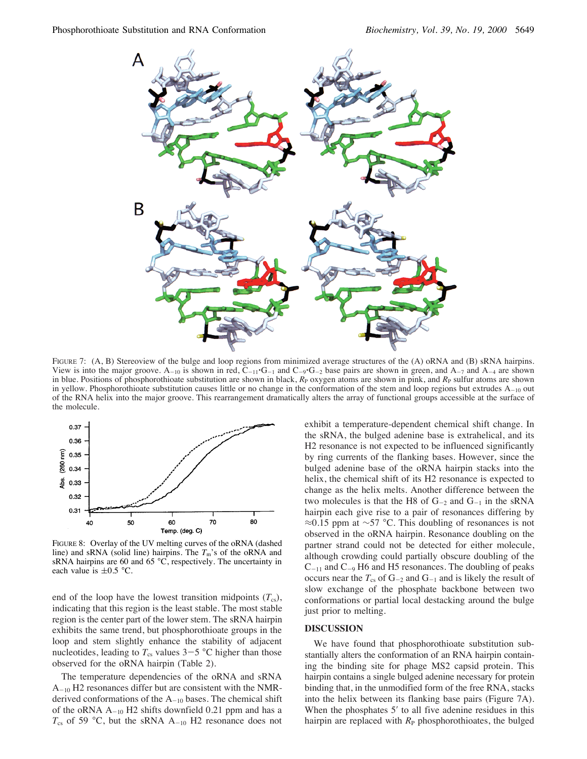

FIGURE 7: (A, B) Stereoview of the bulge and loop regions from minimized average structures of the (A) oRNA and (B) sRNA hairpins. View is into the major groove. A<sub>-10</sub> is shown in red, C<sub>-11</sub>'G<sub>-1</sub> and C<sub>-9</sub>'G<sub>-2</sub> base pairs are shown in green, and A<sub>-7</sub> and A<sub>-4</sub> are shown in blue. Positions of phosphorothioate substitution are shown in black,  $R<sub>P</sub>$  oxygen atoms are shown in pink, and  $R<sub>P</sub>$  sulfur atoms are shown in yellow. Phosphorothioate substitution causes little or no change in the conformation of the stem and loop regions but extrudes  $A_{-10}$  out of the RNA helix into the major groove. This rearrangement dramatically alters the array of functional groups accessible at the surface of the molecule.



FIGURE 8: Overlay of the UV melting curves of the oRNA (dashed line) and sRNA (solid line) hairpins. The  $T_m$ 's of the oRNA and sRNA hairpins are 60 and 65  $\degree$ C, respectively. The uncertainty in each value is  $\pm 0.5$  °C.

end of the loop have the lowest transition midpoints  $(T_{cs})$ , indicating that this region is the least stable. The most stable region is the center part of the lower stem. The sRNA hairpin exhibits the same trend, but phosphorothioate groups in the loop and stem slightly enhance the stability of adjacent nucleotides, leading to  $T_{\text{cs}}$  values  $3-5$  °C higher than those observed for the oRNA hairpin (Table 2).

The temperature dependencies of the oRNA and sRNA A-<sup>10</sup> H2 resonances differ but are consistent with the NMRderived conformations of the  $A_{-10}$  bases. The chemical shift of the oRNA  $A_{-10}$  H2 shifts downfield 0.21 ppm and has a  $T_{\text{cs}}$  of 59 °C, but the sRNA A<sub>-10</sub> H2 resonance does not

exhibit a temperature-dependent chemical shift change. In the sRNA, the bulged adenine base is extrahelical, and its H2 resonance is not expected to be influenced significantly by ring currents of the flanking bases. However, since the bulged adenine base of the oRNA hairpin stacks into the helix, the chemical shift of its H2 resonance is expected to change as the helix melts. Another difference between the two molecules is that the H8 of  $G_{-2}$  and  $G_{-1}$  in the sRNA hairpin each give rise to a pair of resonances differing by ≈0.15 ppm at ~57 °C. This doubling of resonances is not observed in the oRNA hairpin. Resonance doubling on the partner strand could not be detected for either molecule, although crowding could partially obscure doubling of the  $C_{-11}$  and  $C_{-9}$  H6 and H5 resonances. The doubling of peaks occurs near the  $T_{cs}$  of  $G_{-2}$  and  $G_{-1}$  and is likely the result of slow exchange of the phosphate backbone between two conformations or partial local destacking around the bulge just prior to melting.

#### **DISCUSSION**

We have found that phosphorothioate substitution substantially alters the conformation of an RNA hairpin containing the binding site for phage MS2 capsid protein. This hairpin contains a single bulged adenine necessary for protein binding that, in the unmodified form of the free RNA, stacks into the helix between its flanking base pairs (Figure 7A). When the phosphates 5' to all five adenine residues in this hairpin are replaced with  $R<sub>P</sub>$  phosphorothioates, the bulged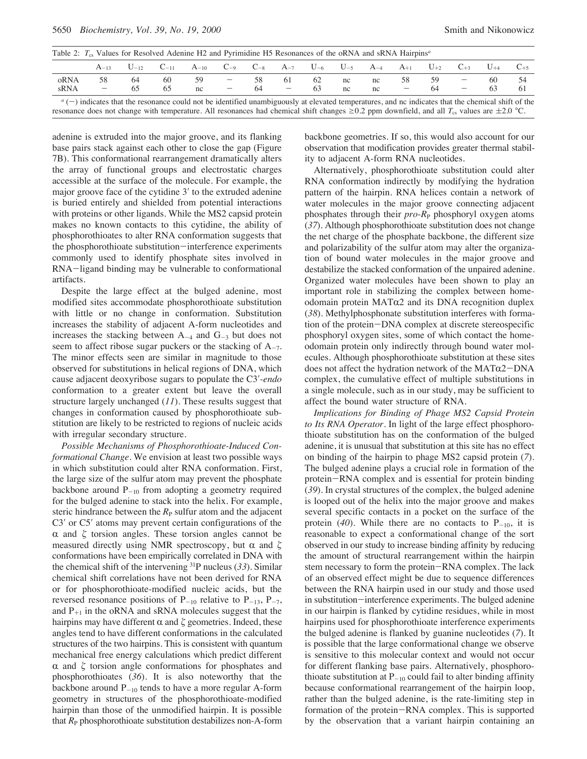| Table 2: $T_{cs}$ Values for Resolved Adenine H2 and Pyrimidine H5 Resonances of the oRNA and sRNA Hairpins <sup>a</sup> |                          |    |                                                                                                                |    |                                 |     |                          |    |    |    |                                 |     |                          |          |          |
|--------------------------------------------------------------------------------------------------------------------------|--------------------------|----|----------------------------------------------------------------------------------------------------------------|----|---------------------------------|-----|--------------------------|----|----|----|---------------------------------|-----|--------------------------|----------|----------|
|                                                                                                                          | $A_{-13}$                |    | $U_{-12}$ $C_{-11}$ $A_{-10}$ $C_{-9}$ $C_{-8}$ $A_{-7}$ $U_{-6}$ $U_{-5}$ $A_{-4}$ $A_{+1}$ $U_{+2}$ $C_{+3}$ |    |                                 |     |                          |    |    |    |                                 |     |                          | $U_{+4}$ | $C_{+5}$ |
| oRNA                                                                                                                     | 58                       | 64 | 60                                                                                                             | 59 | $\hspace{0.1mm}-\hspace{0.1mm}$ | 58. | -61                      | 62 | nc | nc | 58                              | -59 | $\overline{\phantom{0}}$ | 60       | -54      |
| sRNA                                                                                                                     | $\overline{\phantom{0}}$ |    | 65                                                                                                             | nc | $\hspace{0.1mm}-\hspace{0.1mm}$ | 64  | $\overline{\phantom{m}}$ | 63 | nc | nc | $\hspace{0.1mm}-\hspace{0.1mm}$ | 64  |                          | 63       |          |
|                                                                                                                          |                          |    |                                                                                                                |    |                                 |     |                          |    |    |    |                                 |     |                          |          |          |

 $a(-)$  indicates that the resonance could not be identified unambiguously at elevated temperatures, and nc indicates that the chemical shift of the resonance does not change with temperature. All resonances had chemical shift changes  $\geq 0.2$  ppm downfield, and all  $T_{cs}$  values are  $\pm 2.0$  °C.

adenine is extruded into the major groove, and its flanking base pairs stack against each other to close the gap (Figure 7B). This conformational rearrangement dramatically alters the array of functional groups and electrostatic charges accessible at the surface of the molecule. For example, the major groove face of the cytidine 3′ to the extruded adenine is buried entirely and shielded from potential interactions with proteins or other ligands. While the MS2 capsid protein makes no known contacts to this cytidine, the ability of phosphorothioates to alter RNA conformation suggests that the phosphorothioate substitution-interference experiments commonly used to identify phosphate sites involved in RNA-ligand binding may be vulnerable to conformational artifacts.

Despite the large effect at the bulged adenine, most modified sites accommodate phosphorothioate substitution with little or no change in conformation. Substitution increases the stability of adjacent A-form nucleotides and increases the stacking between  $A_{-4}$  and  $G_{-3}$  but does not seem to affect ribose sugar puckers or the stacking of  $A_{-7}$ . The minor effects seen are similar in magnitude to those observed for substitutions in helical regions of DNA, which cause adjacent deoxyribose sugars to populate the C3′-*endo* conformation to a greater extent but leave the overall structure largely unchanged (*11*). These results suggest that changes in conformation caused by phosphorothioate substitution are likely to be restricted to regions of nucleic acids with irregular secondary structure.

*Possible Mechanisms of Phosphorothioate-Induced Conformational Change.* We envision at least two possible ways in which substitution could alter RNA conformation. First, the large size of the sulfur atom may prevent the phosphate backbone around  $P_{-10}$  from adopting a geometry required for the bulged adenine to stack into the helix. For example, steric hindrance between the  $R<sub>P</sub>$  sulfur atom and the adjacent C3′ or C5′ atoms may prevent certain configurations of the  $\alpha$  and  $\zeta$  torsion angles. These torsion angles cannot be measured directly using NMR spectroscopy, but  $\alpha$  and  $\zeta$ conformations have been empirically correlated in DNA with the chemical shift of the intervening 31P nucleus (*33*). Similar chemical shift correlations have not been derived for RNA or for phosphorothioate-modified nucleic acids, but the reversed resonance positions of  $P_{-10}$  relative to  $P_{-13}$ ,  $P_{-7}$ , and  $P_{+1}$  in the oRNA and sRNA molecules suggest that the hairpins may have different  $\alpha$  and  $\zeta$  geometries. Indeed, these angles tend to have different conformations in the calculated structures of the two hairpins. This is consistent with quantum mechanical free energy calculations which predict different  $\alpha$  and  $\zeta$  torsion angle conformations for phosphates and phosphorothioates (*36*). It is also noteworthy that the backbone around  $P_{-10}$  tends to have a more regular A-form geometry in structures of the phosphorothioate-modified hairpin than those of the unmodified hairpin. It is possible that  $R_P$  phosphorothioate substitution destabilizes non-A-form

backbone geometries. If so, this would also account for our observation that modification provides greater thermal stability to adjacent A-form RNA nucleotides.

Alternatively, phosphorothioate substitution could alter RNA conformation indirectly by modifying the hydration pattern of the hairpin. RNA helices contain a network of water molecules in the major groove connecting adjacent phosphates through their *pro-R*<sub>P</sub> phosphoryl oxygen atoms (*37*). Although phosphorothioate substitution does not change the net charge of the phosphate backbone, the different size and polarizability of the sulfur atom may alter the organization of bound water molecules in the major groove and destabilize the stacked conformation of the unpaired adenine. Organized water molecules have been shown to play an important role in stabilizing the complex between homeodomain protein  $MAT\alpha2$  and its DNA recognition duplex (*38*). Methylphosphonate substitution interferes with formation of the protein-DNA complex at discrete stereospecific phosphoryl oxygen sites, some of which contact the homeodomain protein only indirectly through bound water molecules. Although phosphorothioate substitution at these sites does not affect the hydration network of the  $MAT\alpha2-DNA$ complex, the cumulative effect of multiple substitutions in a single molecule, such as in our study, may be sufficient to affect the bound water structure of RNA.

*Implications for Binding of Phage MS2 Capsid Protein to Its RNA Operator.* In light of the large effect phosphorothioate substitution has on the conformation of the bulged adenine, it is unusual that substitution at this site has no effect on binding of the hairpin to phage MS2 capsid protein (*7*). The bulged adenine plays a crucial role in formation of the protein-RNA complex and is essential for protein binding (*39*). In crystal structures of the complex, the bulged adenine is looped out of the helix into the major groove and makes several specific contacts in a pocket on the surface of the protein (40). While there are no contacts to  $P_{-10}$ , it is reasonable to expect a conformational change of the sort observed in our study to increase binding affinity by reducing the amount of structural rearrangement within the hairpin stem necessary to form the protein-RNA complex. The lack of an observed effect might be due to sequence differences between the RNA hairpin used in our study and those used in substitution-interference experiments. The bulged adenine in our hairpin is flanked by cytidine residues, while in most hairpins used for phosphorothioate interference experiments the bulged adenine is flanked by guanine nucleotides (*7*). It is possible that the large conformational change we observe is sensitive to this molecular context and would not occur for different flanking base pairs. Alternatively, phosphorothioate substitution at  $P_{-10}$  could fail to alter binding affinity because conformational rearrangement of the hairpin loop, rather than the bulged adenine, is the rate-limiting step in formation of the protein-RNA complex. This is supported by the observation that a variant hairpin containing an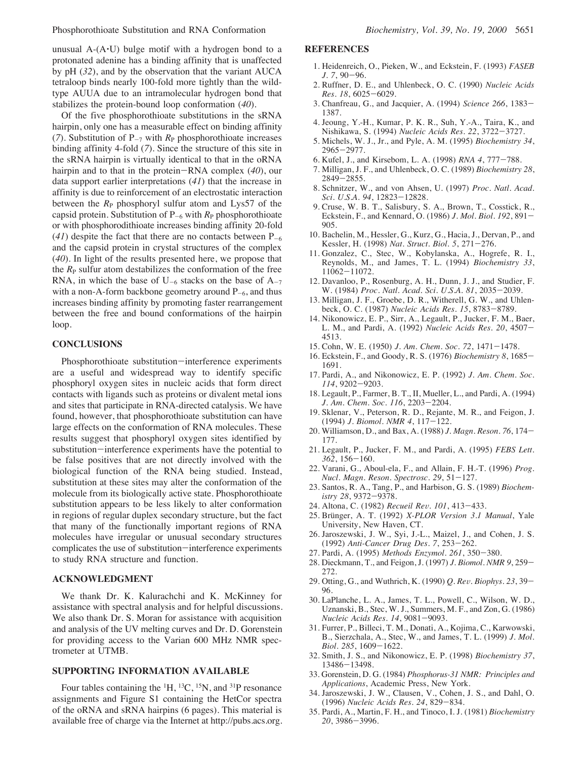unusual  $A-(A\cdot U)$  bulge motif with a hydrogen bond to a protonated adenine has a binding affinity that is unaffected by pH (*32*), and by the observation that the variant AUCA tetraloop binds nearly 100-fold more tightly than the wildtype AUUA due to an intramolecular hydrogen bond that stabilizes the protein-bound loop conformation (*40*).

Of the five phosphorothioate substitutions in the sRNA hairpin, only one has a measurable effect on binding affinity (7). Substitution of  $P_{-7}$  with  $R_P$  phosphorothioate increases binding affinity 4-fold (*7*). Since the structure of this site in the sRNA hairpin is virtually identical to that in the oRNA hairpin and to that in the protein-RNA complex (*40*), our data support earlier interpretations (*41*) that the increase in affinity is due to reinforcement of an electrostatic interaction between the  $R_{\rm P}$  phosphoryl sulfur atom and Lys57 of the capsid protein. Substitution of  $P_{-6}$  with  $R_P$  phosphorothioate or with phosphorodithioate increases binding affinity 20-fold  $(41)$  despite the fact that there are no contacts between  $P_{-6}$ and the capsid protein in crystal structures of the complex (*40*). In light of the results presented here, we propose that the  $R_{\rm P}$  sulfur atom destabilizes the conformation of the free RNA, in which the base of  $U_{-6}$  stacks on the base of  $A_{-7}$ with a non-A-form backbone geometry around  $P_{-6}$ , and thus increases binding affinity by promoting faster rearrangement between the free and bound conformations of the hairpin loop.

#### **CONCLUSIONS**

Phosphorothioate substitution-interference experiments are a useful and widespread way to identify specific phosphoryl oxygen sites in nucleic acids that form direct contacts with ligands such as proteins or divalent metal ions and sites that participate in RNA-directed catalysis. We have found, however, that phosphorothioate substitution can have large effects on the conformation of RNA molecules. These results suggest that phosphoryl oxygen sites identified by substitution-interference experiments have the potential to be false positives that are not directly involved with the biological function of the RNA being studied. Instead, substitution at these sites may alter the conformation of the molecule from its biologically active state. Phosphorothioate substitution appears to be less likely to alter conformation in regions of regular duplex secondary structure, but the fact that many of the functionally important regions of RNA molecules have irregular or unusual secondary structures complicates the use of substitution-interference experiments to study RNA structure and function.

### **ACKNOWLEDGMENT**

We thank Dr. K. Kalurachchi and K. McKinney for assistance with spectral analysis and for helpful discussions. We also thank Dr. S. Moran for assistance with acquisition and analysis of the UV melting curves and Dr. D. Gorenstein for providing access to the Varian 600 MHz NMR spectrometer at UTMB.

## **SUPPORTING INFORMATION AVAILABLE**

Four tables containing the  ${}^{1}H, {}^{13}C, {}^{15}N,$  and  ${}^{31}P$  resonance assignments and Figure S1 containing the HetCor spectra of the oRNA and sRNA hairpins (6 pages). This material is available free of charge via the Internet at http://pubs.acs.org.

#### **REFERENCES**

- 1. Heidenreich, O., Pieken, W., and Eckstein, F. (1993) *FASEB J. 7*, 90-96.
- 2. Ruffner, D. E., and Uhlenbeck, O. C. (1990) *Nucleic Acids Res. 18*, 6025-6029.
- 3. Chanfreau, G., and Jacquier, A. (1994) *Science 266*, 1383- 1387.
- 4. Jeoung, Y.-H., Kumar, P. K. R., Suh, Y.-A., Taira, K., and Nishikawa, S. (1994) *Nucleic Acids Res. 22*, 3722-3727.
- 5. Michels, W. J., Jr., and Pyle, A. M. (1995) *Biochemistry 34*, 2965-2977.
- 6. Kufel, J., and Kirsebom, L. A. (1998) *RNA 4*, 777-788.
- 7. Milligan, J. F., and Uhlenbeck, O. C. (1989) *Biochemistry 28*, 2849-2855.
- 8. Schnitzer, W., and von Ahsen, U. (1997) *Proc. Natl. Acad. Sci. U.S.A. 94*, 12823-12828.
- 9. Cruse, W. B. T., Salisbury, S. A., Brown, T., Cosstick, R., Eckstein, F., and Kennard, O. (1986) *J. Mol. Biol. 192*, 891- 905.
- 10. Bachelin, M., Hessler, G., Kurz, G., Hacia, J., Dervan, P., and Kessler, H. (1998) *Nat. Struct. Biol. 5*, 271-276.
- 11. Gonzalez, C., Stec, W., Kobylanska, A., Hogrefe, R. I., Reynolds, M., and James, T. L. (1994) *Biochemistry 33*, 11062-11072.
- 12. Davanloo, P., Rosenburg, A. H., Dunn, J. J., and Studier, F. W. (1984) *Proc. Natl. Acad. Sci. U.S.A. 81*, 2035-2039.
- 13. Milligan, J. F., Groebe, D. R., Witherell, G. W., and Uhlenbeck, O. C. (1987) *Nucleic Acids Res. 15*, 8783-8789.
- 14. Nikonowicz, E. P., Sirr, A., Legault, P., Jucker, F. M., Baer, L. M., and Pardi, A. (1992) *Nucleic Acids Res. 20*, 4507- 4513.
- 15. Cohn, W. E. (1950) *J. Am. Chem. Soc. 72*, 1471-1478.
- 16. Eckstein, F., and Goody, R. S. (1976) *Biochemistry 8*, 1685- 1691.
- 17. Pardi, A., and Nikonowicz, E. P. (1992) *J. Am. Chem. Soc. 114*, 9202-9203.
- 18. Legault, P., Farmer, B. T., II, Mueller, L., and Pardi, A. (1994) *J. Am. Chem. Soc. 116*, 2203-2204.
- 19. Sklenar, V., Peterson, R. D., Rejante, M. R., and Feigon, J. (1994) *J. Biomol. NMR 4*, 117-122.
- 20. Williamson, D., and Bax, A. (1988) *J. Magn. Reson. 76*, 174- 177.
- 21. Legault, P., Jucker, F. M., and Pardi, A. (1995) *FEBS Lett. 362*, 156-160.
- 22. Varani, G., Aboul-ela, F., and Allain, F. H.-T. (1996) *Prog. Nucl. Magn. Reson. Spectrosc. 29*, 51-127.
- 23. Santos, R. A., Tang, P., and Harbison, G. S. (1989) *Biochemistry 28*, 9372-9378.
- 24. Altona, C. (1982) *Recueil Re*V*. 101*, 413-433.
- 25. Brünger, A. T. (1992) *X-PLOR Version 3.1 Manual*, Yale University, New Haven, CT.
- 26. Jaroszewski, J. W., Syi, J.-L., Maizel, J., and Cohen, J. S. (1992) *Anti-Cancer Drug Des. 7*, 253-262.
- 27. Pardi, A. (1995) *Methods Enzymol. 261*, 350-380.
- 28. Dieckmann, T., and Feigon, J. (1997) *J. Biomol. NMR 9*, 259- 272.
- 29. Otting, G., and Wuthrich, K. (1990) *Q. Re*V*. Biophys. 23*, 39- 96.
- 30. LaPlanche, L. A., James, T. L., Powell, C., Wilson, W. D., Uznanski, B., Stec, W. J., Summers, M. F., and Zon, G. (1986) *Nucleic Acids Res. 14*, 9081-9093.
- 31. Furrer, P., Billeci, T. M., Donati, A., Kojima, C., Karwowski, B., Sierzchala, A., Stec, W., and James, T. L. (1999) *J. Mol. Biol. 285*, 1609-1622.
- 32. Smith, J. S., and Nikonowicz, E. P. (1998) *Biochemistry 37*, 13486-13498.
- 33. Gorenstein, D. G. (1984) *Phosphorus-31 NMR: Principles and Applications*, Academic Press, New York.
- 34. Jaroszewski, J. W., Clausen, V., Cohen, J. S., and Dahl, O. (1996) *Nucleic Acids Res. 24*, 829-834.
- 35. Pardi, A., Martin, F. H., and Tinoco, I. J. (1981) *Biochemistry 20*, 3986-3996.